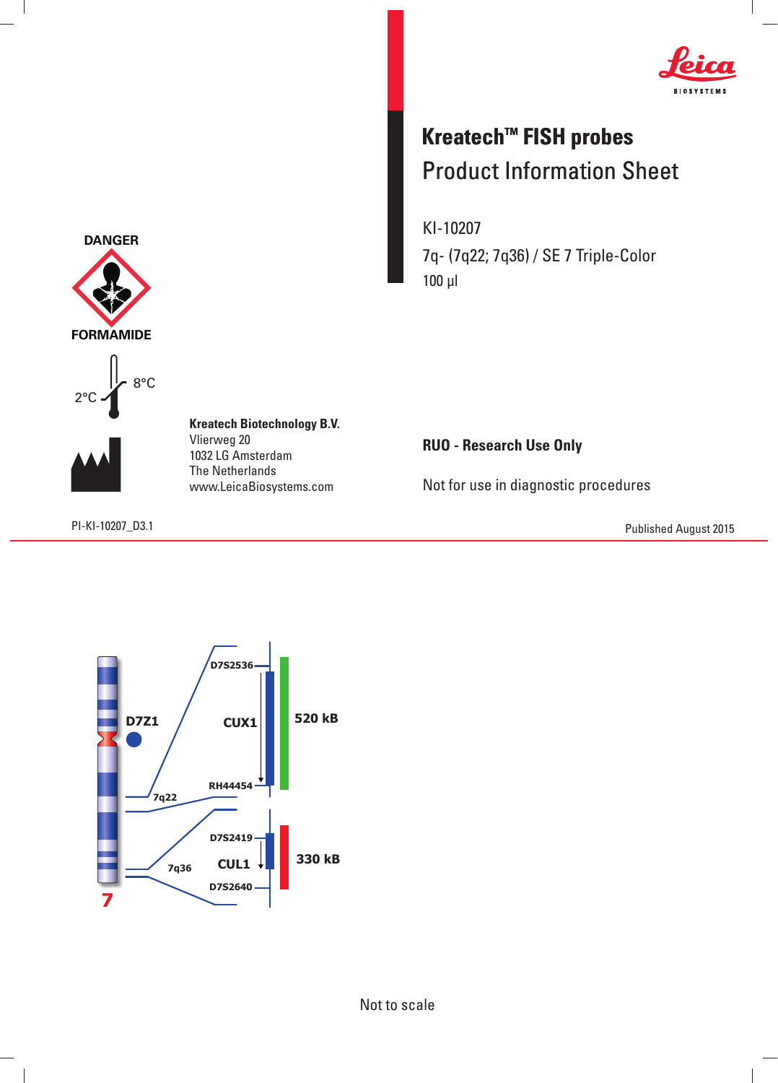

## **Kreatech™ FISH probes** Product Information Sheet

KI-10207 7q- (7q22; 7q36) / SE 7 Triple-Color 100 μl

**RUO - Research Use Only**

Not for use in diagnostic procedures

PI-KI-10207\_D3.1 Published August 2015



**D7S2640**

**Kreatech Biotechnology B.V.** Vlierweg 20 8°C DANGER<br>FORMAMIC<br>2°C

> 1032 LG Amsterdam The Netherlands www.LeicaBiosystems.com



**FORMAMIDE**

**7**

 $\overline{\phantom{a}}$